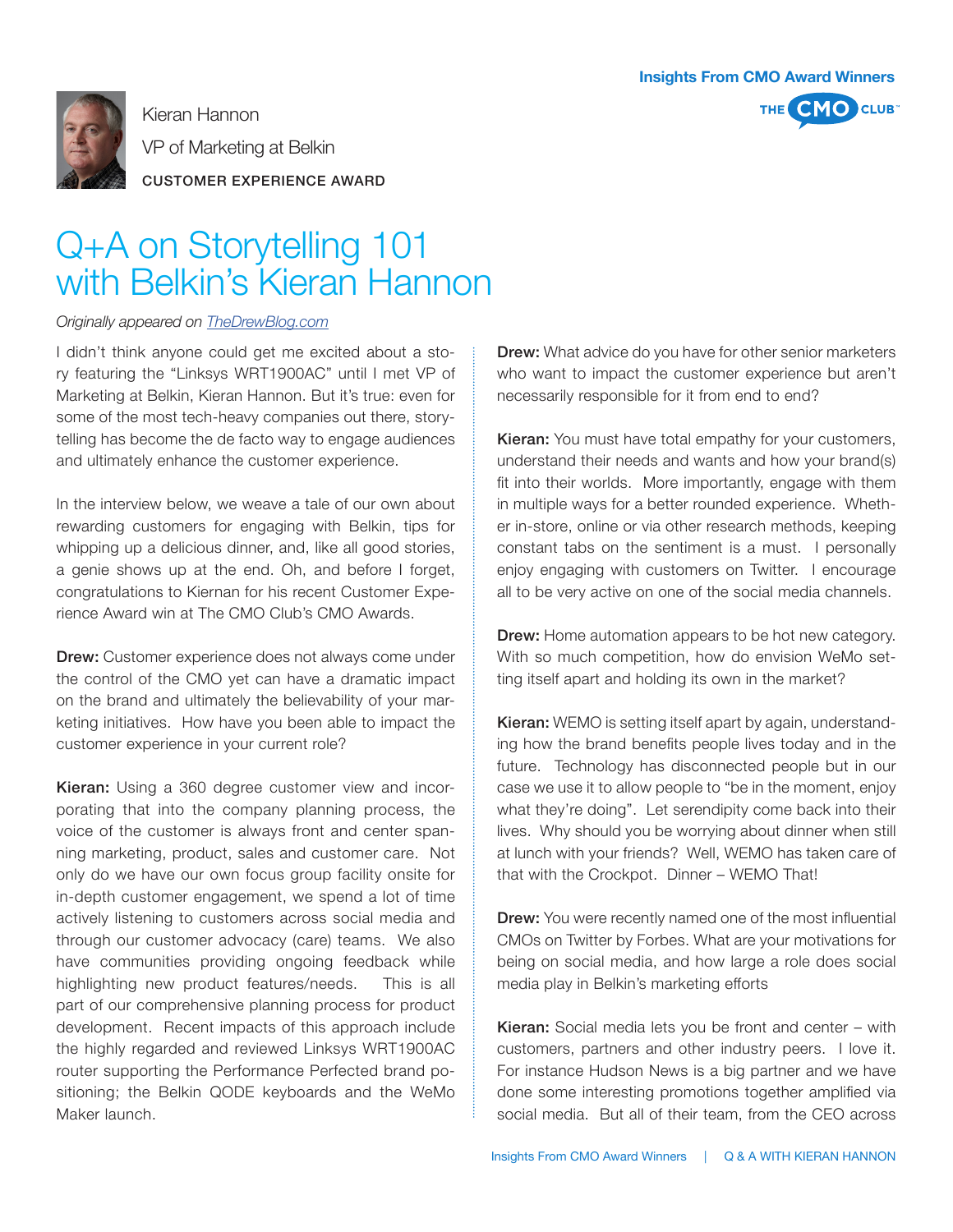

Kieran Hannon

VP of Marketing at Belkin

CUSTOMER EXPERIENCE AWARD



## Q+A on Storytelling 101 with Belkin's Kieran Hannon

## *Originally appeared on TheDrewBlog.com*

I didn't think anyone could get me excited about a story featuring the "Linksys WRT1900AC" until I met VP of Marketing at Belkin, Kieran Hannon. But it's true: even for some of the most tech-heavy companies out there, storytelling has become the de facto way to engage audiences and ultimately enhance the customer experience.

In the interview below, we weave a tale of our own about rewarding customers for engaging with Belkin, tips for whipping up a delicious dinner, and, like all good stories, a genie shows up at the end. Oh, and before I forget, congratulations to Kiernan for his recent Customer Experience Award win at The CMO Club's CMO Awards.

Drew: Customer experience does not always come under the control of the CMO yet can have a dramatic impact on the brand and ultimately the believability of your marketing initiatives. How have you been able to impact the customer experience in your current role?

Kieran: Using a 360 degree customer view and incorporating that into the company planning process, the voice of the customer is always front and center spanning marketing, product, sales and customer care. Not only do we have our own focus group facility onsite for in-depth customer engagement, we spend a lot of time actively listening to customers across social media and through our customer advocacy (care) teams. We also have communities providing ongoing feedback while highlighting new product features/needs. This is all part of our comprehensive planning process for product development. Recent impacts of this approach include the highly regarded and reviewed Linksys WRT1900AC router supporting the Performance Perfected brand positioning; the Belkin QODE keyboards and the WeMo Maker launch.

**Drew:** What advice do you have for other senior marketers who want to impact the customer experience but aren't necessarily responsible for it from end to end?

Kieran: You must have total empathy for your customers, understand their needs and wants and how your brand(s) fit into their worlds. More importantly, engage with them in multiple ways for a better rounded experience. Whether in-store, online or via other research methods, keeping constant tabs on the sentiment is a must. I personally enjoy engaging with customers on Twitter. I encourage all to be very active on one of the social media channels.

**Drew:** Home automation appears to be hot new category. With so much competition, how do envision WeMo setting itself apart and holding its own in the market?

**Kieran:** WEMO is setting itself apart by again, understanding how the brand benefits people lives today and in the future. Technology has disconnected people but in our case we use it to allow people to "be in the moment, enjoy what they're doing". Let serendipity come back into their lives. Why should you be worrying about dinner when still at lunch with your friends? Well, WEMO has taken care of that with the Crockpot. Dinner – WEMO That!

**Drew:** You were recently named one of the most influential CMOs on Twitter by Forbes. What are your motivations for being on social media, and how large a role does social media play in Belkin's marketing efforts

Kieran: Social media lets you be front and center - with customers, partners and other industry peers. I love it. For instance Hudson News is a big partner and we have done some interesting promotions together amplified via social media. But all of their team, from the CEO across